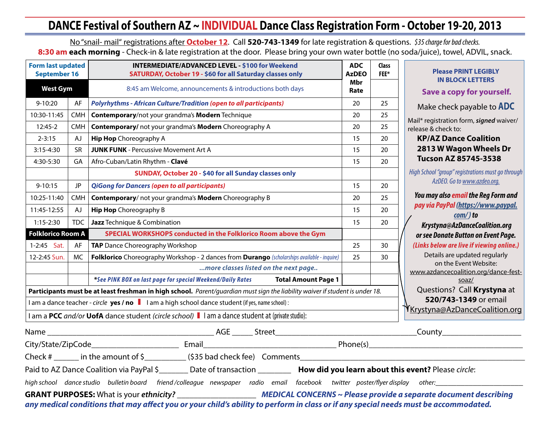# **DANCE Festival of Southern AZ ~ INDIVIDUAL Dance Class Registration Form - October 19-20, 2013**

No "snail- mail" registrations after **October 12**. Call **520-743-1349** for late registration & questions. *\$35 charge for bad checks.* 8:30 am each morning - Check-in & late registration at the door. Please bring your own water bottle (no soda/juice), towel, ADVIL, snack.

| <b>Form last updated</b><br><b>September 16</b>                                                                                        |            | <b>INTERMEDIATE/ADVANCED LEVEL - \$100 for Weekend</b><br><b>SATURDAY, October 19 - \$60 for all Saturday classes only</b>           | <b>ADC</b><br><b>AzDEO</b> | <b>Class</b><br>FEE* | <b>Please PRINT LEGIBLY</b>                                                |  |  |  |  |
|----------------------------------------------------------------------------------------------------------------------------------------|------------|--------------------------------------------------------------------------------------------------------------------------------------|----------------------------|----------------------|----------------------------------------------------------------------------|--|--|--|--|
| <b>West Gym</b>                                                                                                                        |            | 8:45 am Welcome, announcements & introductions both days                                                                             | Mbr<br>Rate                |                      | <b>IN BLOCK LETTERS</b><br>Save a copy for yourself.                       |  |  |  |  |
| $9 - 10:20$                                                                                                                            | AF         | <b>Polyrhythms - African Culture/Tradition (open to all participants)</b>                                                            | 20                         | 25                   | Make check payable to <b>ADC</b>                                           |  |  |  |  |
| 10:30-11:45                                                                                                                            | <b>CMH</b> | Contemporary/not your grandma's Modern Technique                                                                                     | 20                         | 25                   | Mail* registration form, signed waiver/                                    |  |  |  |  |
| 12:45-2                                                                                                                                | CMH        | Contemporary/ not your grandma's Modern Choreography A                                                                               | 25                         | release & check to:  |                                                                            |  |  |  |  |
| $2 - 3:15$                                                                                                                             | ΑJ         | <b>Hip Hop</b> Choreography A                                                                                                        | 15                         | 20                   | <b>KP/AZ Dance Coalition</b>                                               |  |  |  |  |
| $3:15 - 4:30$                                                                                                                          | <b>SR</b>  | <b>JUNK FUNK - Percussive Movement Art A</b>                                                                                         | 15                         | 20                   | 2813 W Wagon Wheels Dr                                                     |  |  |  |  |
| 4:30-5:30                                                                                                                              | GA         | Afro-Cuban/Latin Rhythm - Clavé                                                                                                      | 15                         | 20                   | <b>Tucson AZ 85745-3538</b>                                                |  |  |  |  |
|                                                                                                                                        |            | SUNDAY, October 20 - \$40 for all Sunday classes only                                                                                |                            |                      | High School "group" registrations must go through                          |  |  |  |  |
| $9 - 10:15$                                                                                                                            | <b>JP</b>  | <b>QiGong for Dancers (open to all participants)</b>                                                                                 | 15                         | 20                   | AzDEO. Go to www.azdeo.org.                                                |  |  |  |  |
| 10:25-11:40                                                                                                                            | CMH        | Contemporary/not your grandma's Modern Choreography B                                                                                | 20                         | 25                   | You may also email the Reg Form and<br>pay via PayPal (https://www.paypal. |  |  |  |  |
| 11:45-12:55                                                                                                                            | AJ         | <b>Hip Hop</b> Choreography B                                                                                                        | 15                         | 20                   |                                                                            |  |  |  |  |
| $1:15-2:30$                                                                                                                            | <b>TDC</b> | Jazz Technique & Combination                                                                                                         | 15                         | 20                   | $com/$ ) to<br>Krystyna@AzDanceCoalition.org                               |  |  |  |  |
| <b>Folklorico Room A</b>                                                                                                               |            | SPECIAL WORKSHOPS conducted in the Folklorico Room above the Gym                                                                     |                            |                      | or see Donate Button on Event Page.                                        |  |  |  |  |
| 1-2:45 Sat.                                                                                                                            | AF         | TAP Dance Choreography Workshop                                                                                                      | 25                         | 30                   | (Links below are live if viewing online.)                                  |  |  |  |  |
| 12-2:45 Sun.                                                                                                                           | МC         | Folklorico Choreography Workshop - 2 dances from Durango (scholarships available - inquire)                                          | 25                         | 30                   | Details are updated regularly                                              |  |  |  |  |
|                                                                                                                                        |            | more classes listed on the next page                                                                                                 |                            |                      | on the Event Website:<br>www.azdancecoalition.org/dance-fest-              |  |  |  |  |
|                                                                                                                                        |            | *See PINK BOX on last page for special Weekend/Daily Rates<br><b>Total Amount Page 1</b>                                             |                            |                      | soaz/                                                                      |  |  |  |  |
|                                                                                                                                        |            | Participants must be at least freshman in high school. Parent/guardian must sign the liability waiver if student is under 18.        |                            |                      | Questions? Call Krystyna at                                                |  |  |  |  |
|                                                                                                                                        |            | I am a dance teacher - circle yes / no    I am a high school dance student (if yes, name school) :                                   |                            |                      | 520/743-1349 or email                                                      |  |  |  |  |
|                                                                                                                                        |            | I am a PCC and/or UofA dance student (circle school) I I am a dance student at (private studio):                                     |                            |                      | YKrystyna@AzDanceCoalition.org                                             |  |  |  |  |
|                                                                                                                                        |            |                                                                                                                                      |                            |                      |                                                                            |  |  |  |  |
|                                                                                                                                        |            |                                                                                                                                      |                            |                      |                                                                            |  |  |  |  |
|                                                                                                                                        |            |                                                                                                                                      |                            |                      |                                                                            |  |  |  |  |
|                                                                                                                                        |            | Paid to AZ Dance Coalition via PayPal \$_______ Date of transaction ________ How did you learn about this event? Please circle:      |                            |                      |                                                                            |  |  |  |  |
| high school dance studio bulletin board friend/colleague newspaper radio email facebook twitter poster/flyer display other:___________ |            |                                                                                                                                      |                            |                      |                                                                            |  |  |  |  |
|                                                                                                                                        |            | any medical conditions that may affect you or your child's ability to perform in class or if any special needs must be accommodated. |                            |                      |                                                                            |  |  |  |  |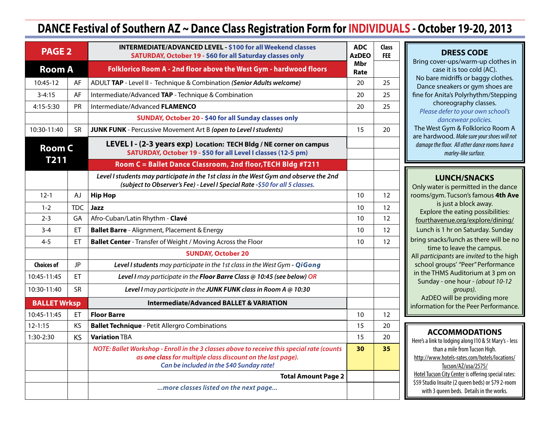## **DANCE Festival of Southern AZ ~ Dance Class Registration Form for INDIVIDUALS - October 19-20, 2013**

| <b>PAGE 2</b>       |                            | <b>INTERMEDIATE/ADVANCED LEVEL - \$100 for all Weekend classes</b><br>SATURDAY, October 19 - \$60 for all Saturday classes only                                                                       | <b>ADC</b><br><b>AzDEO</b> | <b>Class</b><br><b>FEE</b> |
|---------------------|----------------------------|-------------------------------------------------------------------------------------------------------------------------------------------------------------------------------------------------------|----------------------------|----------------------------|
| <b>Room A</b>       |                            | Folklorico Room A - 2nd floor above the West Gym - hardwood floors                                                                                                                                    | Mbr<br>Rate                |                            |
| 10:45-12            | AF                         | ADULT TAP - Level II - Technique & Combination (Senior Adults welcome)                                                                                                                                |                            | 25                         |
| $3 - 4:15$          | AF                         | Intermediate/Advanced TAP - Technique & Combination                                                                                                                                                   |                            | 25                         |
| 4:15-5:30           | <b>PR</b>                  | Intermediate/Advanced FLAMENCO                                                                                                                                                                        |                            | 25                         |
|                     |                            | SUNDAY, October 20 - \$40 for all Sunday classes only                                                                                                                                                 |                            |                            |
| 10:30-11:40         | SR                         | <b>JUNK FUNK</b> - Percussive Movement Art B (open to Level I students)                                                                                                                               | 15                         | 20                         |
| <b>Room C</b>       |                            | LEVEL I - (2-3 years exp) Location: TECH Bldg / NE corner on campus<br>SATURDAY, October 19 - \$50 for all Level I classes (12-5 pm)                                                                  |                            |                            |
| <b>T211</b>         |                            | Room C = Ballet Dance Classroom, 2nd floor, TECH Bldg #T211                                                                                                                                           |                            |                            |
|                     |                            | Level I students may participate in the 1st class in the West Gym and observe the 2nd<br>(subject to Observer's Fee) - Level I Special Rate -\$50 for all 5 classes.                                  |                            |                            |
| $12 - 1$            | <b>AJ</b>                  | <b>Hip Hop</b>                                                                                                                                                                                        | 10                         | 12                         |
| $1 - 2$             | <b>TDC</b>                 | Jazz                                                                                                                                                                                                  | 10                         | 12                         |
| $2 - 3$             | GA                         | Afro-Cuban/Latin Rhythm - Clavé                                                                                                                                                                       | 10                         | 12                         |
| $3 - 4$             | ET                         | <b>Ballet Barre</b> - Alignment, Placement & Energy                                                                                                                                                   | 10                         | 12                         |
| $4 - 5$             | ET                         | <b>Ballet Center</b> - Transfer of Weight / Moving Across the Floor                                                                                                                                   |                            | 12                         |
|                     |                            | <b>SUNDAY, October 20</b>                                                                                                                                                                             |                            |                            |
| <b>Choices of</b>   | JP                         | Level I students may participate in the 1st class in the West Gym - QiGong                                                                                                                            |                            |                            |
| 10:45-11:45         | ET                         | Level I may participate in the Floor Barre Class @ 10:45 (see below) OR                                                                                                                               |                            |                            |
| 10:30-11:40         | <b>SR</b>                  | Level I may participate in the JUNK FUNK class in Room A @ 10:30                                                                                                                                      |                            |                            |
| <b>BALLET Wrksp</b> |                            | <b>Intermediate/Advanced BALLET &amp; VARIATION</b>                                                                                                                                                   |                            |                            |
| 10:45-11:45         | ЕT                         | <b>Floor Barre</b>                                                                                                                                                                                    | 10                         | 12                         |
| $12 - 1:15$         | KS                         | <b>Ballet Technique - Petit Allergro Combinations</b>                                                                                                                                                 | 15                         | 20                         |
| 1:30-2:30           | <b>KS</b>                  | <b>Variation TBA</b>                                                                                                                                                                                  | 15                         | 20                         |
|                     |                            | NOTE: Ballet Workshop - Enroll in the 3 classes above to receive this special rate (counts<br>as one class for multiple class discount on the last page).<br>Can be included in the \$40 Sunday rate! | 30                         | 35                         |
|                     | <b>Total Amount Page 2</b> |                                                                                                                                                                                                       |                            |                            |
|                     |                            | more classes listed on the next page                                                                                                                                                                  |                            |                            |

#### **DRESS CODE**

Bring cover-ups/warm-up clothes in case it is too cold (AC). No bare midriffs or baggy clothes. Dance sneakers or gym shoes are fine for Anita's Polyrhythm/Stepping choreography classes. *Please defer to your own school's dancewear policies.* The West Gym & Folklorico Room A are hardwood. *Make sure your shoes will not damage the floor. All other dance rooms have a marley-like surface.*

#### **LUNCH/SNACKS**

Only water is permitted in the dance rooms/gym. Tucson's famous **4th Ave** is just a block away. Explore the eating possibilities: [fourthavenue.org/explore/dining/](http://www.fourthavenue.org/explore/dining/) Lunch is 1 hr on Saturday. Sunday bring snacks/lunch as there will be no time to leave the campus. All *participants* are *invited* to the high school groups' "Peer" Performance in the THMS Auditorium at 3 pm on Sunday - one hour - *(about 10-12 groups).* AzDEO will be providing more information for the Peer Performance.

## **ACCOMMODATIONS**

Here's a link to lodging along I10 & St Mary's - less than a mile from Tucson High. [http://www.hotels-rates.com/hotels/locations/](http://www.hotels-rates.com/hotels/locations/Tucson/AZ/usa/2575/) [Tucson/AZ/usa/2575/](http://www.hotels-rates.com/hotels/locations/Tucson/AZ/usa/2575/) [Hotel Tucson City Center](http://www.innsuites.com/catch/hotel-tucson-city-center-innsuites-conference-suite-resort.php) is offering special rates: \$59 Studio Insuite (2 queen beds) or \$79 2-room with 3 queen beds. Details in the works.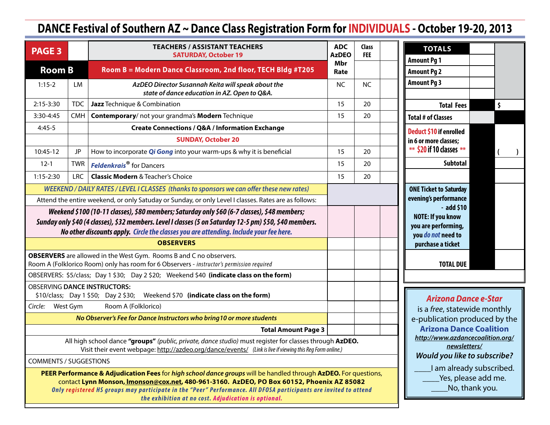# **DANCE Festival of Southern AZ ~ Dance Class Registration Form for INDIVIDUALS - October 19-20, 2013**

| <b>PAGE 3</b>                                                                                                                                                                                                                                                                                     |                                                                                                                                                                                                                      | <b>TEACHERS / ASSISTANT TEACHERS</b><br><b>SATURDAY, October 19</b>                                                                                             | <b>ADC</b><br><b>AzDEO</b> | <b>Class</b><br><b>FEE</b> | <b>TOTALS</b>                                                         |
|---------------------------------------------------------------------------------------------------------------------------------------------------------------------------------------------------------------------------------------------------------------------------------------------------|----------------------------------------------------------------------------------------------------------------------------------------------------------------------------------------------------------------------|-----------------------------------------------------------------------------------------------------------------------------------------------------------------|----------------------------|----------------------------|-----------------------------------------------------------------------|
| <b>Room B</b>                                                                                                                                                                                                                                                                                     |                                                                                                                                                                                                                      | Room B = Modern Dance Classroom, 2nd floor, TECH Bldg #T205                                                                                                     | Mbr<br>Rate                |                            | <b>Amount Pg 1</b><br><b>Amount Pg 2</b>                              |
| $1:15-2$                                                                                                                                                                                                                                                                                          | LM                                                                                                                                                                                                                   | AzDEO Director Susannah Keita will speak about the<br>state of dance education in AZ. Open to Q&A.                                                              | <b>NC</b>                  | <b>NC</b>                  | <b>Amount Pg 3</b>                                                    |
| 2:15-3:30                                                                                                                                                                                                                                                                                         | <b>TDC</b>                                                                                                                                                                                                           | Jazz Technique & Combination                                                                                                                                    | 15                         | 20                         | \$<br><b>Total Fees</b>                                               |
| 3:30-4:45                                                                                                                                                                                                                                                                                         | <b>CMH</b>                                                                                                                                                                                                           | Contemporary/ not your grandma's Modern Technique                                                                                                               | 15                         | 20                         | <b>Total # of Classes</b>                                             |
| $4:45-5$                                                                                                                                                                                                                                                                                          |                                                                                                                                                                                                                      | <b>Create Connections / Q&amp;A / Information Exchange</b>                                                                                                      |                            |                            | <b>Deduct \$10 if enrolled</b>                                        |
|                                                                                                                                                                                                                                                                                                   |                                                                                                                                                                                                                      | <b>SUNDAY, October 20</b>                                                                                                                                       |                            |                            | in 6 or more classes;                                                 |
| 10:45-12                                                                                                                                                                                                                                                                                          | JP                                                                                                                                                                                                                   | How to incorporate <i>Qi Gong</i> into your warm-ups & why it is beneficial                                                                                     | 15                         | 20                         | ** \$20 if 10 classes **<br>(                                         |
| $12-1$                                                                                                                                                                                                                                                                                            | <b>TWR</b>                                                                                                                                                                                                           | <b>Feldenkrais<sup>®</sup></b> for Dancers                                                                                                                      | 15                         | 20                         | <b>Subtotal</b>                                                       |
| $1:15-2:30$                                                                                                                                                                                                                                                                                       | <b>LRC</b>                                                                                                                                                                                                           | <b>Classic Modern &amp; Teacher's Choice</b>                                                                                                                    | 15                         | 20                         |                                                                       |
|                                                                                                                                                                                                                                                                                                   |                                                                                                                                                                                                                      | WEEKEND / DAILY RATES / LEVEL I CLASSES (thanks to sponsors we can offer these new rates)                                                                       |                            |                            | <b>ONE Ticket to Saturday</b>                                         |
|                                                                                                                                                                                                                                                                                                   |                                                                                                                                                                                                                      | Attend the entire weekend, or only Satuday or Sunday, or only Level I classes. Rates are as follows:                                                            |                            |                            | evening's performance<br>$-$ add \$10                                 |
| Weekend \$100 (10-11 classes), \$80 members; Saturday only \$60 (6-7 classes), \$48 members;<br>Sunday only \$40 (4 classes), \$32 members. Level I classes (5 on Saturday 12-5 pm) \$50, \$40 members.<br>No other discounts apply. Circle the classes you are attending. Include your fee here. |                                                                                                                                                                                                                      |                                                                                                                                                                 |                            |                            | <b>NOTE: If you know</b><br>you are performing,<br>you do not need to |
|                                                                                                                                                                                                                                                                                                   |                                                                                                                                                                                                                      | <b>OBSERVERS</b>                                                                                                                                                |                            |                            | purchase a ticket                                                     |
|                                                                                                                                                                                                                                                                                                   |                                                                                                                                                                                                                      | OBSERVERS are allowed in the West Gym. Rooms B and C no observers.<br>Room A (Folklorico Room) only has room for 6 Observers - instructor's permission required |                            |                            | <b>TOTAL DUE</b>                                                      |
|                                                                                                                                                                                                                                                                                                   |                                                                                                                                                                                                                      | OBSERVERS: \$5/class; Day 1 \$30; Day 2 \$20; Weekend \$40 (indicate class on the form)                                                                         |                            |                            |                                                                       |
| <b>OBSERVING DANCE INSTRUCTORS:</b><br>\$10/class; Day 1 \$50; Day 2 \$30; Weekend \$70 (indicate class on the form)                                                                                                                                                                              |                                                                                                                                                                                                                      | <b>Arizona Dance e-Star</b>                                                                                                                                     |                            |                            |                                                                       |
| Circle: West Gym                                                                                                                                                                                                                                                                                  |                                                                                                                                                                                                                      | Room A (Folklorico)                                                                                                                                             |                            |                            | is a free, statewide monthly                                          |
|                                                                                                                                                                                                                                                                                                   |                                                                                                                                                                                                                      | No Observer's Fee for Dance Instructors who bring 10 or more students                                                                                           |                            |                            | e-publication produced by the                                         |
|                                                                                                                                                                                                                                                                                                   |                                                                                                                                                                                                                      | <b>Arizona Dance Coalition</b>                                                                                                                                  |                            |                            |                                                                       |
|                                                                                                                                                                                                                                                                                                   | All high school dance "groups" (public, private, dance studio) must register for classes through AzDEO.<br>Visit their event webpage: http://azdeo.org/dance/events/ (Link is live if viewing this Reg Form online.) | http://www.azdancecoalition.org/<br>newsletters/                                                                                                                |                            |                            |                                                                       |
| <b>COMMENTS / SUGGESTIONS</b>                                                                                                                                                                                                                                                                     |                                                                                                                                                                                                                      | <b>Would you like to subscribe?</b>                                                                                                                             |                            |                            |                                                                       |
| PEER Performance & Adjudication Fees for high school dance groups will be handled through AzDEO. For questions,                                                                                                                                                                                   | contact Lynn Monson, Imonson@cox.net, 480-961-3160. AzDEO, PO Box 60152, Phoenix AZ 85082<br>Only registered HS groups may participate in the "Peer" Performance. All DFOSA participants are invited to attend       | I am already subscribed.<br>Yes, please add me.<br>No, thank you.                                                                                               |                            |                            |                                                                       |